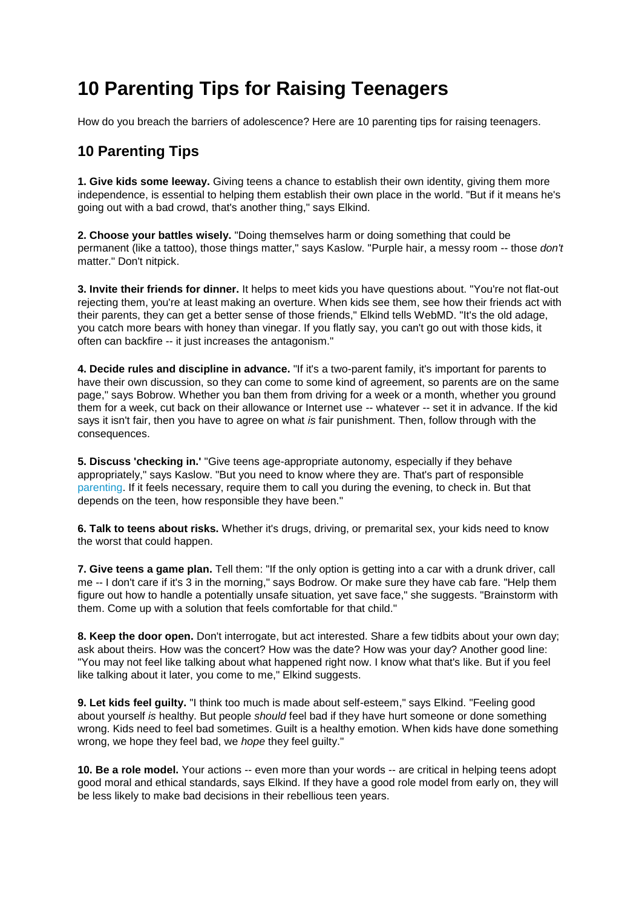# **10 Parenting Tips for Raising Teenagers**

How do you breach the barriers of adolescence? Here are 10 parenting tips for raising teenagers.

## **10 Parenting Tips**

**1. Give kids some leeway.** Giving teens a chance to establish their own identity, giving them more independence, is essential to helping them establish their own place in the world. "But if it means he's going out with a bad crowd, that's another thing," says Elkind.

**2. Choose your battles wisely.** "Doing themselves harm or doing something that could be permanent (like a tattoo), those things matter," says Kaslow. "Purple hair, a messy room -- those *don't* matter." Don't nitpick.

**3. Invite their friends for dinner.** It helps to meet kids you have questions about. "You're not flat-out rejecting them, you're at least making an overture. When kids see them, see how their friends act with their parents, they can get a better sense of those friends," Elkind tells WebMD. "It's the old adage, you catch more bears with honey than vinegar. If you flatly say, you can't go out with those kids, it often can backfire -- it just increases the antagonism."

**4. Decide rules and discipline in advance.** "If it's a two-parent family, it's important for parents to have their own discussion, so they can come to some kind of agreement, so parents are on the same page," says Bobrow. Whether you ban them from driving for a week or a month, whether you ground them for a week, cut back on their allowance or Internet use -- whatever -- set it in advance. If the kid says it isn't fair, then you have to agree on what *is* fair punishment. Then, follow through with the consequences.

**5. Discuss 'checking in.'** "Give teens age-appropriate autonomy, especially if they behave appropriately," says Kaslow. "But you need to know where they are. That's part of responsible [parenting.](http://www.webmd.com/parenting/rm-quiz-discipline-dos-donts) If it feels necessary, require them to call you during the evening, to check in. But that depends on the teen, how responsible they have been."

**6. Talk to teens about risks.** Whether it's drugs, driving, or premarital sex, your kids need to know the worst that could happen.

**7. Give teens a game plan.** Tell them: "If the only option is getting into a car with a drunk driver, call me -- I don't care if it's 3 in the morning," says Bodrow. Or make sure they have cab fare. "Help them figure out how to handle a potentially unsafe situation, yet save face," she suggests. "Brainstorm with them. Come up with a solution that feels comfortable for that child."

**8. Keep the door open.** Don't interrogate, but act interested. Share a few tidbits about your own day; ask about theirs. How was the concert? How was the date? How was your day? Another good line: "You may not feel like talking about what happened right now. I know what that's like. But if you feel like talking about it later, you come to me," Elkind suggests.

**9. Let kids feel guilty.** "I think too much is made about self-esteem," says Elkind. "Feeling good about yourself *is* healthy. But people *should* feel bad if they have hurt someone or done something wrong. Kids need to feel bad sometimes. Guilt is a healthy emotion. When kids have done something wrong, we hope they feel bad, we *hope* they feel guilty."

**10. Be a role model.** Your actions -- even more than your words -- are critical in helping teens adopt good moral and ethical standards, says Elkind. If they have a good role model from early on, they will be less likely to make bad decisions in their rebellious teen years.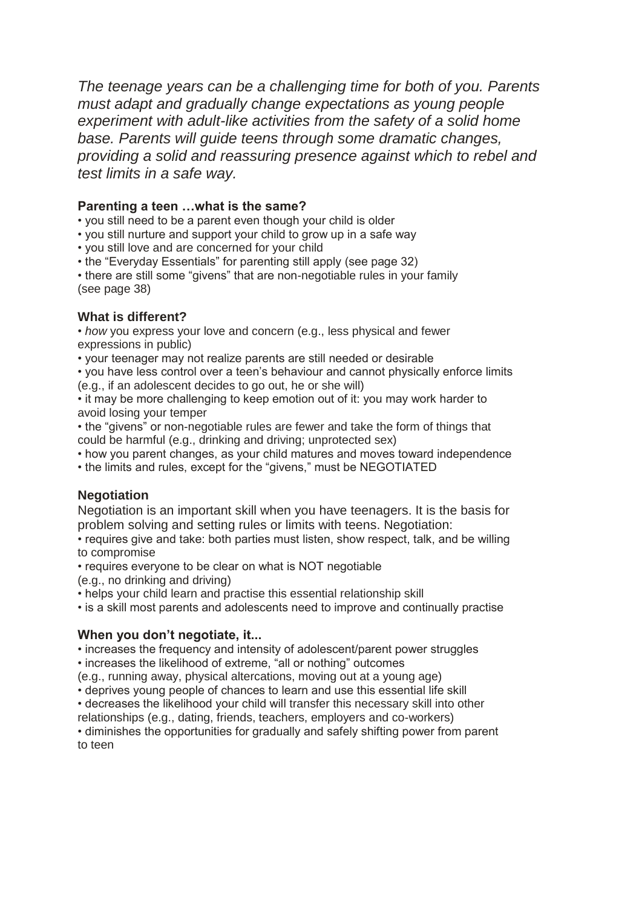*The teenage years can be a challenging time for both of you. Parents must adapt and gradually change expectations as young people experiment with adult-like activities from the safety of a solid home base. Parents will guide teens through some dramatic changes, providing a solid and reassuring presence against which to rebel and test limits in a safe way.*

### **Parenting a teen …what is the same?**

- you still need to be a parent even though your child is older
- you still nurture and support your child to grow up in a safe way
- you still love and are concerned for your child
- the "Everyday Essentials" for parenting still apply (see page 32)

• there are still some "givens" that are non-negotiable rules in your family (see page 38)

## **What is different?**

• *how* you express your love and concern (e.g., less physical and fewer expressions in public)

• your teenager may not realize parents are still needed or desirable

• you have less control over a teen's behaviour and cannot physically enforce limits (e.g., if an adolescent decides to go out, he or she will)

• it may be more challenging to keep emotion out of it: you may work harder to avoid losing your temper

• the "givens" or non-negotiable rules are fewer and take the form of things that could be harmful (e.g., drinking and driving; unprotected sex)

- how you parent changes, as your child matures and moves toward independence
- the limits and rules, except for the "givens," must be NEGOTIATED

## **Negotiation**

Negotiation is an important skill when you have teenagers. It is the basis for problem solving and setting rules or limits with teens. Negotiation:

• requires give and take: both parties must listen, show respect, talk, and be willing to compromise

• requires everyone to be clear on what is NOT negotiable

(e.g., no drinking and driving)

• helps your child learn and practise this essential relationship skill

• is a skill most parents and adolescents need to improve and continually practise

## **When you don't negotiate, it...**

• increases the frequency and intensity of adolescent/parent power struggles • increases the likelihood of extreme, "all or nothing" outcomes

(e.g., running away, physical altercations, moving out at a young age)

• deprives young people of chances to learn and use this essential life skill

• decreases the likelihood your child will transfer this necessary skill into other

relationships (e.g., dating, friends, teachers, employers and co-workers)

• diminishes the opportunities for gradually and safely shifting power from parent to teen